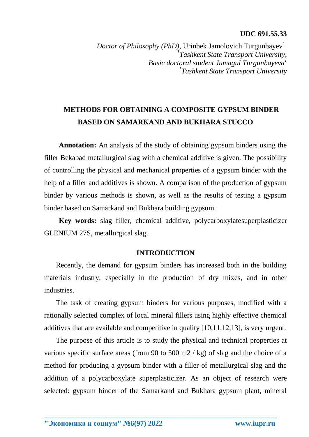### **UDC 691.55.33**

*Doctor of Philosophy (PhD)*, Urinbek Jamolovich Turgunbayev<sup>1</sup> *1 Tashkent State Transport University, Basic doctoral student Jumagul Turgunbayeva<sup>1</sup> 1 Tashkent State Transport University*

# **METHODS FOR OBTAINING A COMPOSITE GYPSUM BINDER BASED ON SAMARKAND AND BUKHARA STUCCO**

**Annotation:** An analysis of the study of obtaining gypsum binders using the filler Bekabad metallurgical slag with a chemical additive is given. The possibility of controlling the physical and mechanical properties of a gypsum binder with the help of a filler and additives is shown. A comparison of the production of gypsum binder by various methods is shown, as well as the results of testing a gypsum binder based on Samarkand and Bukhara building gypsum.

**Key words:** slag filler, chemical additive, polycarboxylatesuperplasticizer GLENIUM 27S, metallurgical slag.

## **INTRODUCTION**

Recently, the demand for gypsum binders has increased both in the building materials industry, especially in the production of dry mixes, and in other industries.

The task of creating gypsum binders for various purposes, modified with a rationally selected complex of local mineral fillers using highly effective chemical additives that are available and competitive in quality [10,11,12,13], is very urgent.

The purpose of this article is to study the physical and technical properties at various specific surface areas (from 90 to 500 m2  $/$  kg) of slag and the choice of a method for producing a gypsum binder with a filler of metallurgical slag and the addition of a polycarboxylate superplasticizer. As an object of research were selected: gypsum binder of the Samarkand and Bukhara gypsum plant, mineral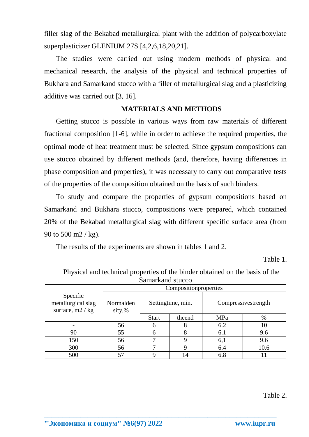filler slag of the Bekabad metallurgical plant with the addition of polycarboxylate superplasticizer GLENIUM 27S [4,2,6,18,20,21].

The studies were carried out using modern methods of physical and mechanical research, the analysis of the physical and technical properties of Bukhara and Samarkand stucco with a filler of metallurgical slag and a plasticizing additive was carried out [3, 16].

## **MATERIALS AND METHODS**

Getting stucco is possible in various ways from raw materials of different fractional composition [1-6], while in order to achieve the required properties, the optimal mode of heat treatment must be selected. Since gypsum compositions can use stucco obtained by different methods (and, therefore, having differences in phase composition and properties), it was necessary to carry out comparative tests of the properties of the composition obtained on the basis of such binders.

To study and compare the properties of gypsum compositions based on Samarkand and Bukhara stucco, compositions were prepared, which contained 20% of the Bekabad metallurgical slag with different specific surface area (from 90 to 500 m2 / kg).

The results of the experiments are shown in tables 1 and 2.

Table 1.

| Sailiai Kaliu Stucco                                 |                     |                   |        |                     |      |  |  |
|------------------------------------------------------|---------------------|-------------------|--------|---------------------|------|--|--|
|                                                      |                     |                   |        |                     |      |  |  |
| Specific<br>metallurgical slag<br>surface, $m2 / kg$ | Normalden<br>sity,% | Settingtime, min. |        | Compressivestrength |      |  |  |
|                                                      |                     | <b>Start</b>      | theend | MPa                 | $\%$ |  |  |
|                                                      | 56                  |                   |        | 6.2                 | 10   |  |  |
| 90                                                   | 55                  |                   |        | 6.1                 | 9.6  |  |  |
| 150                                                  | 56                  |                   |        | 6,1                 | 9.6  |  |  |
| 300                                                  | 56                  |                   |        | 6.4                 | 10.6 |  |  |
| 500                                                  | 57                  |                   | 14     | 6.8                 |      |  |  |

**\_\_\_\_\_\_\_\_\_\_\_\_\_\_\_\_\_\_\_\_\_\_\_\_\_\_\_\_\_\_\_\_\_\_\_\_\_\_\_\_\_\_\_\_\_\_\_\_\_\_\_\_\_\_\_\_\_\_\_\_\_\_\_\_**

Physical and technical properties of the binder obtained on the basis of the Samarkand stucco

Table 2.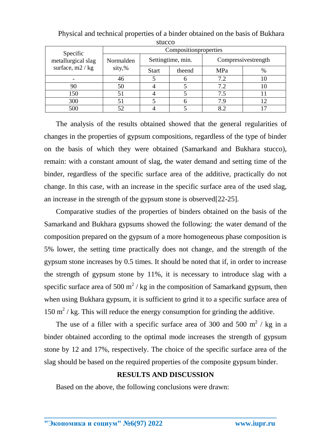| ouuco                                                |                       |                   |        |                     |    |  |  |  |
|------------------------------------------------------|-----------------------|-------------------|--------|---------------------|----|--|--|--|
| Specific<br>metallurgical slag<br>surface, $m2 / kg$ | Compositionproperties |                   |        |                     |    |  |  |  |
|                                                      | Normalden<br>sity,%   | Settingtime, min. |        | Compressivestrength |    |  |  |  |
|                                                      |                       | <b>Start</b>      | theend | MPa                 | %  |  |  |  |
|                                                      | 46                    |                   |        | 7.2                 | 10 |  |  |  |
| 90                                                   | 50                    |                   |        | 7.2                 | 10 |  |  |  |
| 150                                                  | 51                    |                   |        | 7.5                 |    |  |  |  |
| 300                                                  |                       |                   |        | 7.9                 | 12 |  |  |  |
| 500                                                  |                       |                   |        | 8.2                 |    |  |  |  |

Physical and technical properties of a binder obtained on the basis of Bukhara stucco

The analysis of the results obtained showed that the general regularities of changes in the properties of gypsum compositions, regardless of the type of binder on the basis of which they were obtained (Samarkand and Bukhara stucco), remain: with a constant amount of slag, the water demand and setting time of the binder, regardless of the specific surface area of the additive, practically do not change. In this case, with an increase in the specific surface area of the used slag, an increase in the strength of the gypsum stone is observed[22-25].

Comparative studies of the properties of binders obtained on the basis of the Samarkand and Bukhara gypsums showed the following: the water demand of the composition prepared on the gypsum of a more homogeneous phase composition is 5% lower, the setting time practically does not change, and the strength of the gypsum stone increases by 0.5 times. It should be noted that if, in order to increase the strength of gypsum stone by 11%, it is necessary to introduce slag with a specific surface area of 500  $m^2$  / kg in the composition of Samarkand gypsum, then when using Bukhara gypsum, it is sufficient to grind it to a specific surface area of  $150 \text{ m}^2$  / kg. This will reduce the energy consumption for grinding the additive.

The use of a filler with a specific surface area of 300 and 500  $m^2$  / kg in a binder obtained according to the optimal mode increases the strength of gypsum stone by 12 and 17%, respectively. The choice of the specific surface area of the slag should be based on the required properties of the composite gypsum binder.

# **RESULTS AND DISCUSSION**

**\_\_\_\_\_\_\_\_\_\_\_\_\_\_\_\_\_\_\_\_\_\_\_\_\_\_\_\_\_\_\_\_\_\_\_\_\_\_\_\_\_\_\_\_\_\_\_\_\_\_\_\_\_\_\_\_\_\_\_\_\_\_\_\_**

Based on the above, the following conclusions were drawn: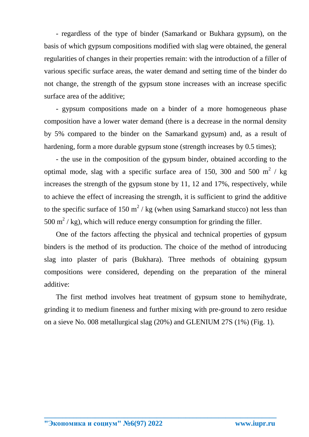- regardless of the type of binder (Samarkand or Bukhara gypsum), on the basis of which gypsum compositions modified with slag were obtained, the general regularities of changes in their properties remain: with the introduction of a filler of various specific surface areas, the water demand and setting time of the binder do not change, the strength of the gypsum stone increases with an increase specific surface area of the additive;

- gypsum compositions made on a binder of a more homogeneous phase composition have a lower water demand (there is a decrease in the normal density by 5% compared to the binder on the Samarkand gypsum) and, as a result of hardening, form a more durable gypsum stone (strength increases by 0.5 times);

- the use in the composition of the gypsum binder, obtained according to the optimal mode, slag with a specific surface area of 150, 300 and 500  $m^2$  / kg increases the strength of the gypsum stone by 11, 12 and 17%, respectively, while to achieve the effect of increasing the strength, it is sufficient to grind the additive to the specific surface of 150  $m^2$  / kg (when using Samarkand stucco) not less than 500 m<sup>2</sup> / kg), which will reduce energy consumption for grinding the filler.

One of the factors affecting the physical and technical properties of gypsum binders is the method of its production. The choice of the method of introducing slag into plaster of paris (Bukhara). Three methods of obtaining gypsum compositions were considered, depending on the preparation of the mineral additive:

The first method involves heat treatment of gypsum stone to hemihydrate, grinding it to medium fineness and further mixing with pre-ground to zero residue on a sieve No. 008 metallurgical slag (20%) and GLENIUM 27S (1%) (Fig. 1).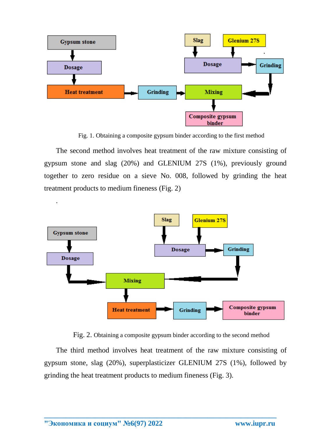

Fig. 1. Obtaining a composite gypsum binder according to the first method

The second method involves heat treatment of the raw mixture consisting of gypsum stone and slag (20%) and GLENIUM 27S (1%), previously ground together to zero residue on a sieve No. 008, followed by grinding the heat treatment products to medium fineness (Fig. 2)



Fig. 2. Obtaining a composite gypsum binder according to the second method

The third method involves heat treatment of the raw mixture consisting of gypsum stone, slag (20%), superplasticizer GLENIUM 27S (1%), followed by grinding the heat treatment products to medium fineness (Fig. 3).

**\_\_\_\_\_\_\_\_\_\_\_\_\_\_\_\_\_\_\_\_\_\_\_\_\_\_\_\_\_\_\_\_\_\_\_\_\_\_\_\_\_\_\_\_\_\_\_\_\_\_\_\_\_\_\_\_\_\_\_\_\_\_\_\_**

.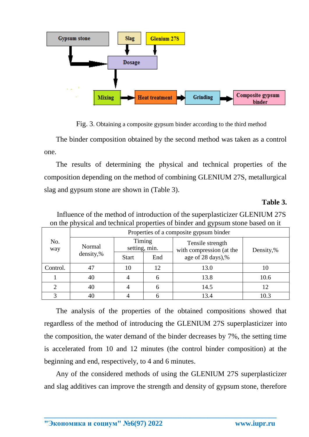

Fig. 3. Obtaining a composite gypsum binder according to the third method

The binder composition obtained by the second method was taken as a control one.

The results of determining the physical and technical properties of the composition depending on the method of combining GLENIUM 27S, metallurgical slag and gypsum stone are shown in (Table 3).

## **Table 3.**

|            | Properties of a composite gypsum binder |                         |     |                                              |           |  |  |
|------------|-----------------------------------------|-------------------------|-----|----------------------------------------------|-----------|--|--|
| No.<br>way | Normal<br>density,%                     | Timing<br>setting, min. |     | Tensile strength<br>with compression (at the | Density,% |  |  |
|            |                                         | <b>Start</b>            | End | age of 28 days),%                            |           |  |  |
| Control.   | 47                                      | 10                      | 12  | 13.0                                         | 10        |  |  |
|            | 40                                      |                         | 6   | 13.8                                         | 10.6      |  |  |
|            | 40                                      |                         | 6   | 14.5                                         | 12        |  |  |
|            | 40                                      |                         |     | 13.4                                         | 10.3      |  |  |

Influence of the method of introduction of the superplasticizer GLENIUM 27S on the physical and technical properties of binder and gypsum stone based on it

The analysis of the properties of the obtained compositions showed that regardless of the method of introducing the GLENIUM 27S superplasticizer into the composition, the water demand of the binder decreases by 7%, the setting time is accelerated from 10 and 12 minutes (the control binder composition) at the beginning and end, respectively, to 4 and 6 minutes.

Any of the considered methods of using the GLENIUM 27S superplasticizer and slag additives can improve the strength and density of gypsum stone, therefore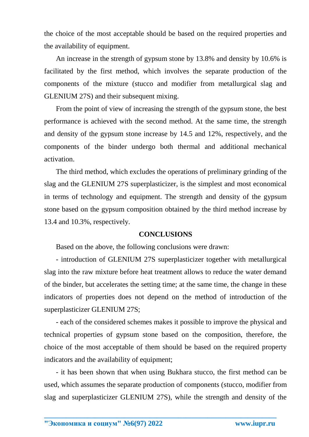the choice of the most acceptable should be based on the required properties and the availability of equipment.

An increase in the strength of gypsum stone by 13.8% and density by 10.6% is facilitated by the first method, which involves the separate production of the components of the mixture (stucco and modifier from metallurgical slag and GLENIUM 27S) and their subsequent mixing.

From the point of view of increasing the strength of the gypsum stone, the best performance is achieved with the second method. At the same time, the strength and density of the gypsum stone increase by 14.5 and 12%, respectively, and the components of the binder undergo both thermal and additional mechanical activation.

The third method, which excludes the operations of preliminary grinding of the slag and the GLENIUM 27S superplasticizer, is the simplest and most economical in terms of technology and equipment. The strength and density of the gypsum stone based on the gypsum composition obtained by the third method increase by 13.4 and 10.3%, respectively.

### **CONCLUSIONS**

Based on the above, the following conclusions were drawn:

- introduction of GLENIUM 27S superplasticizer together with metallurgical slag into the raw mixture before heat treatment allows to reduce the water demand of the binder, but accelerates the setting time; at the same time, the change in these indicators of properties does not depend on the method of introduction of the superplasticizer GLENIUM 27S;

- each of the considered schemes makes it possible to improve the physical and technical properties of gypsum stone based on the composition, therefore, the choice of the most acceptable of them should be based on the required property indicators and the availability of equipment;

- it has been shown that when using Bukhara stucco, the first method can be used, which assumes the separate production of components (stucco, modifier from slag and superplasticizer GLENIUM 27S), while the strength and density of the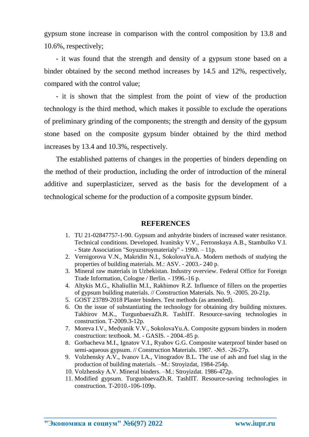gypsum stone increase in comparison with the control composition by 13.8 and 10.6%, respectively;

- it was found that the strength and density of a gypsum stone based on a binder obtained by the second method increases by 14.5 and 12%, respectively, compared with the control value;

- it is shown that the simplest from the point of view of the production technology is the third method, which makes it possible to exclude the operations of preliminary grinding of the components; the strength and density of the gypsum stone based on the composite gypsum binder obtained by the third method increases by 13.4 and 10.3%, respectively.

The established patterns of changes in the properties of binders depending on the method of their production, including the order of introduction of the mineral additive and superplasticizer, served as the basis for the development of a technological scheme for the production of a composite gypsum binder.

### **REFERENCES**

- 1. TU 21-02847757-1-90. Gypsum and anhydrite binders of increased water resistance. Technical conditions. Developed. Ivanitsky V.V., Ferronskaya A.B., Stambulko V.I. - State Association "Soyuzstroymaterialy" - 1990. – 11p.
- 2. Vernigorova V.N., Makridin N.I., SokolovaYu.A. Modern methods of studying the properties of building materials. M.: ASV. - 2003.- 240 p.
- 3. Mineral raw materials in Uzbekistan. Industry overview. Federal Office for Foreign Trade Information, Cologne / Berlin. - 1996.-16 p.
- 4. Altykis M.G., Khaliullin M.I., Rakhimov R.Z. Influence of fillers on the properties of gypsum building materials. // Construction Materials. No. 9. -2005. 20-21p.
- 5. GOST 23789-2018 Plaster binders. Test methods (as amended).
- 6. On the issue of substantiating the technology for obtaining dry building mixtures. Takhirov M.K., TurgunbaevaZh.R. TashIIT. Resource-saving technologies in construction. T-2009.3-12p.
- 7. Moreva I.V., Medyanik V.V., SokolovaYu.A. Composite gypsum binders in modern construction: textbook. M. - GASIS. - 2004.-85 p.
- 8. Gorbacheva M.I., Ignatov V.I., Ryabov G.G. Composite waterproof binder based on semi-aqueous gypsum. // Construction Materials. 1987. -No 5. -26-27p.
- 9. Volzhensky A.V., Ivanov I.A., Vinogradov B.L. The use of ash and fuel slag in the production of building materials. –M.: Stroyizdat, 1984-254p.
- 10. Volzhensky A.V. Mineral binders. –M.: Stroyizdat. 1986-472p.

**\_\_\_\_\_\_\_\_\_\_\_\_\_\_\_\_\_\_\_\_\_\_\_\_\_\_\_\_\_\_\_\_\_\_\_\_\_\_\_\_\_\_\_\_\_\_\_\_\_\_\_\_\_\_\_\_\_\_\_\_\_\_\_\_**

11. Modified gypsum. TurgunbaevaZh.R. TashIIT. Resource-saving technologies in construction. T-2010.-106-109p.